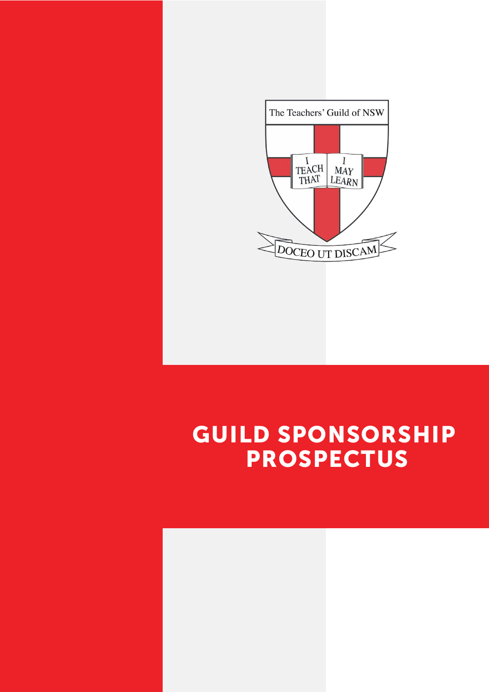

# GUILD SPONSORSHIP PROSPECTUS

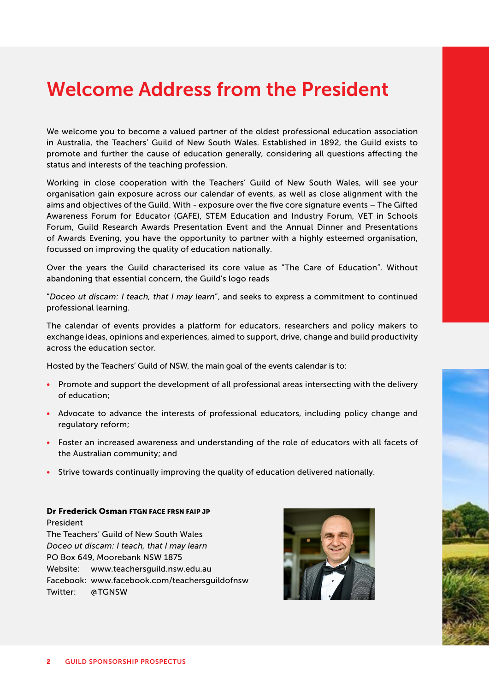## Welcome Address from the President

We welcome you to become a valued partner of the oldest professional education association in Australia, the Teachers' Guild of New South Wales. Established in 1892, the Guild exists to promote and further the cause of education generally, considering all questions affecting the status and interests of the teaching profession.

Working in close cooperation with the Teachers' Guild of New South Wales, will see your organisation gain exposure across our calendar of events, as well as close alignment with the aims and objectives of the Guild. With - exposure over the five core signature events – The Gifted Awareness Forum for Educator (GAFE), STEM Education and Industry Forum, VET in Schools Forum, Guild Research Awards Presentation Event and the Annual Dinner and Presentations of Awards Evening, you have the opportunity to partner with a highly esteemed organisation, focussed on improving the quality of education nationally.

Over the years the Guild characterised its core value as "The Care of Education". Without abandoning that essential concern, the Guild's logo reads

"*Doceo ut discam: I teach, that I may learn*", and seeks to express a commitment to continued professional learning.

The calendar of events provides a platform for educators, researchers and policy makers to exchange ideas, opinions and experiences, aimed to support, drive, change and build productivity across the education sector.

Hosted by the Teachers' Guild of NSW, the main goal of the events calendar is to:

- Promote and support the development of all professional areas intersecting with the delivery of education;
- Advocate to advance the interests of professional educators, including policy change and regulatory reform;
- Foster an increased awareness and understanding of the role of educators with all facets of the Australian community; and
- Strive towards continually improving the quality of education delivered nationally.

Dr Frederick Osman FTGN FACE FRSN FAIP JP President The Teachers' Guild of New South Wales *Doceo ut discam: I teach, that I may learn* PO Box 649, Moorebank NSW 1875 Website: www.teachersguild.nsw.edu.au Facebook: www.facebook.com/teachersguildofnsw Twitter: @TGNSW

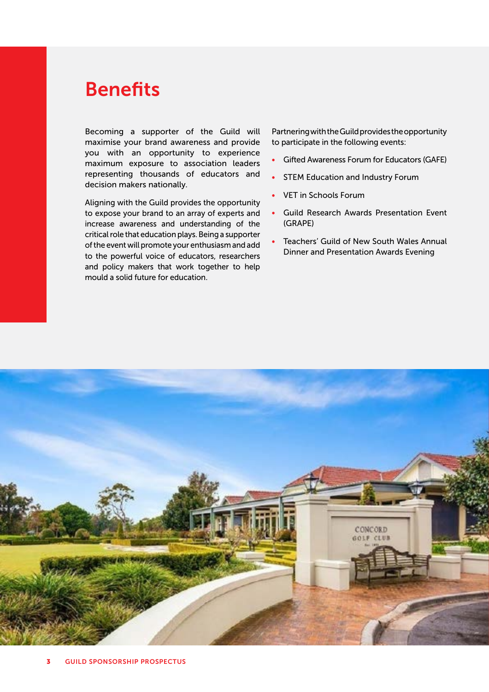## Benefits

Becoming a supporter of the Guild will maximise your brand awareness and provide you with an opportunity to experience maximum exposure to association leaders representing thousands of educators and decision makers nationally.

Aligning with the Guild provides the opportunity to expose your brand to an array of experts and increase awareness and understanding of the critical role that education plays. Being a supporter of the event will promote your enthusiasm and add to the powerful voice of educators, researchers and policy makers that work together to help mould a solid future for education.

Partnering with the Guild provides the opportunity to participate in the following events:

- Gifted Awareness Forum for Educators (GAFE)
- **STEM Education and Industry Forum**
- VET in Schools Forum
- Guild Research Awards Presentation Event (GRAPE)
- Teachers' Guild of New South Wales Annual Dinner and Presentation Awards Evening

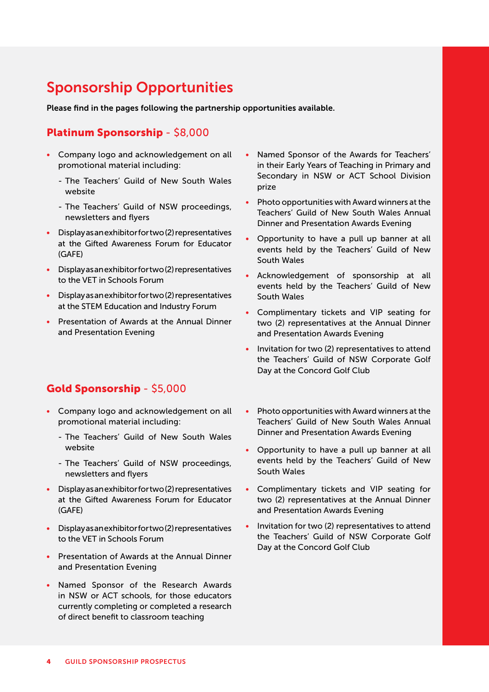## Sponsorship Opportunities

Please find in the pages following the partnership opportunities available.

#### Platinum Sponsorship - \$8,000

- Company logo and acknowledgement on all promotional material including:
	- The Teachers' Guild of New South Wales website
	- The Teachers' Guild of NSW proceedings, newsletters and flyers
- Display as an exhibitor for two (2) representatives at the Gifted Awareness Forum for Educator (GAFE)
- Display as an exhibitor for two (2) representatives to the VET in Schools Forum
- Display as an exhibitor for two (2) representatives at the STEM Education and Industry Forum
- Presentation of Awards at the Annual Dinner and Presentation Evening

#### Gold Sponsorship - \$5,000

- Company logo and acknowledgement on all promotional material including:
	- The Teachers' Guild of New South Wales website
	- The Teachers' Guild of NSW proceedings, newsletters and flyers
- Display as an exhibitor for two (2) representatives at the Gifted Awareness Forum for Educator (GAFE)
- Display as an exhibitor for two (2) representatives to the VET in Schools Forum
- Presentation of Awards at the Annual Dinner and Presentation Evening
- Named Sponsor of the Research Awards in NSW or ACT schools, for those educators currently completing or completed a research of direct benefit to classroom teaching
- Named Sponsor of the Awards for Teachers' in their Early Years of Teaching in Primary and Secondary in NSW or ACT School Division prize
- Photo opportunities with Award winners at the Teachers' Guild of New South Wales Annual Dinner and Presentation Awards Evening
- Opportunity to have a pull up banner at all events held by the Teachers' Guild of New South Wales
- Acknowledgement of sponsorship at all events held by the Teachers' Guild of New South Wales
- Complimentary tickets and VIP seating for two (2) representatives at the Annual Dinner and Presentation Awards Evening
- Invitation for two (2) representatives to attend the Teachers' Guild of NSW Corporate Golf Day at the Concord Golf Club
- Photo opportunities with Award winners at the Teachers' Guild of New South Wales Annual Dinner and Presentation Awards Evening
- Opportunity to have a pull up banner at all events held by the Teachers' Guild of New South Wales
- Complimentary tickets and VIP seating for two (2) representatives at the Annual Dinner and Presentation Awards Evening
- Invitation for two (2) representatives to attend the Teachers' Guild of NSW Corporate Golf Day at the Concord Golf Club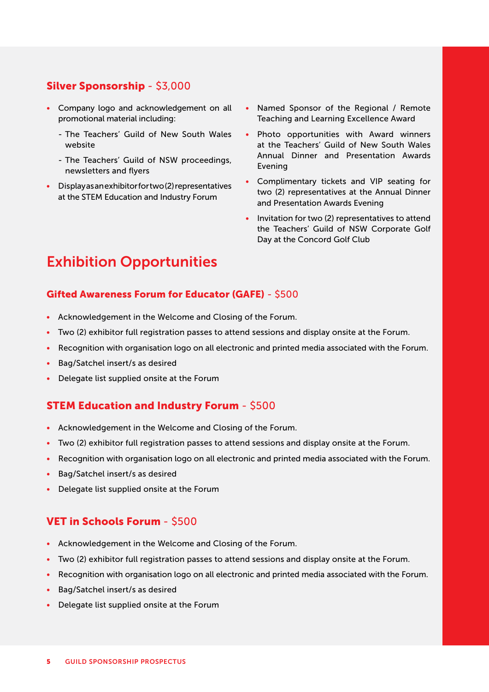#### Silver Sponsorship - \$3,000

- Company logo and acknowledgement on all promotional material including:
	- The Teachers' Guild of New South Wales website
	- The Teachers' Guild of NSW proceedings, newsletters and flyers
- Display as an exhibitor for two (2) representatives at the STEM Education and Industry Forum
- Named Sponsor of the Regional / Remote Teaching and Learning Excellence Award
- Photo opportunities with Award winners at the Teachers' Guild of New South Wales Annual Dinner and Presentation Awards Evening
- Complimentary tickets and VIP seating for two (2) representatives at the Annual Dinner and Presentation Awards Evening
- Invitation for two (2) representatives to attend the Teachers' Guild of NSW Corporate Golf Day at the Concord Golf Club

### Exhibition Opportunities

#### Gifted Awareness Forum for Educator (GAFE) - \$500

- Acknowledgement in the Welcome and Closing of the Forum.
- Two (2) exhibitor full registration passes to attend sessions and display onsite at the Forum.
- Recognition with organisation logo on all electronic and printed media associated with the Forum.
- Bag/Satchel insert/s as desired
- Delegate list supplied onsite at the Forum

#### STEM Education and Industry Forum - \$500

- Acknowledgement in the Welcome and Closing of the Forum.
- Two (2) exhibitor full registration passes to attend sessions and display onsite at the Forum.
- Recognition with organisation logo on all electronic and printed media associated with the Forum.
- Bag/Satchel insert/s as desired
- Delegate list supplied onsite at the Forum

#### VET in Schools Forum - \$500

- Acknowledgement in the Welcome and Closing of the Forum.
- Two (2) exhibitor full registration passes to attend sessions and display onsite at the Forum.
- Recognition with organisation logo on all electronic and printed media associated with the Forum.
- Bag/Satchel insert/s as desired
- Delegate list supplied onsite at the Forum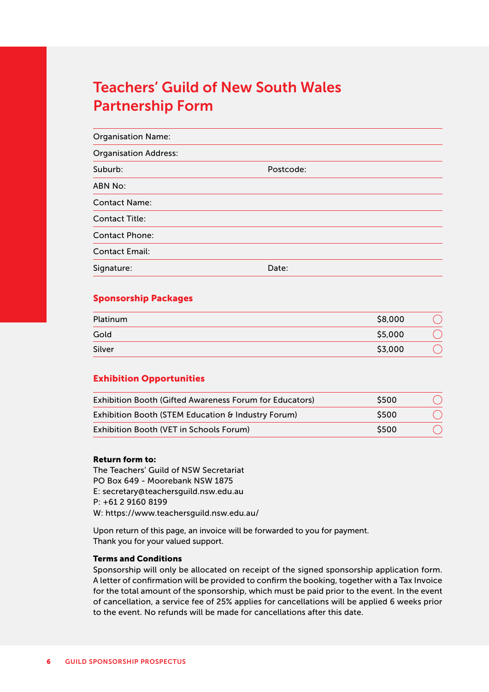## Teachers' Guild of New South Wales Partnership Form

| <b>Organisation Name:</b>    |           |
|------------------------------|-----------|
| <b>Organisation Address:</b> |           |
| Suburb:                      | Postcode: |
| <b>ABN No:</b>               |           |
| <b>Contact Name:</b>         |           |
| <b>Contact Title:</b>        |           |
| <b>Contact Phone:</b>        |           |
| <b>Contact Email:</b>        |           |
| Signature:                   | Date:     |

#### Sponsorship Packages

| Platinum | \$8,000 |  |
|----------|---------|--|
| Gold     | \$5,000 |  |
| Silver   | \$3,000 |  |

#### Exhibition Opportunities

| Exhibition Booth (Gifted Awareness Forum for Educators) | <b>S500</b> |  |
|---------------------------------------------------------|-------------|--|
| Exhibition Booth (STEM Education & Industry Forum)      | <b>S500</b> |  |
| Exhibition Booth (VET in Schools Forum)                 | \$500       |  |

#### Return form to:

The Teachers' Guild of NSW Secretariat PO Box 649 - Moorebank NSW 1875 E: secretary@teachersguild.nsw.edu.au P: +61 2 9160 8199 W: https://www.teachersguild.nsw.edu.au/

Upon return of this page, an invoice will be forwarded to you for payment. Thank you for your valued support.

#### Terms and Conditions

Sponsorship will only be allocated on receipt of the signed sponsorship application form. A letter of confirmation will be provided to confirm the booking, together with a Tax Invoice for the total amount of the sponsorship, which must be paid prior to the event. In the event of cancellation, a service fee of 25% applies for cancellations will be applied 6 weeks prior to the event. No refunds will be made for cancellations after this date.